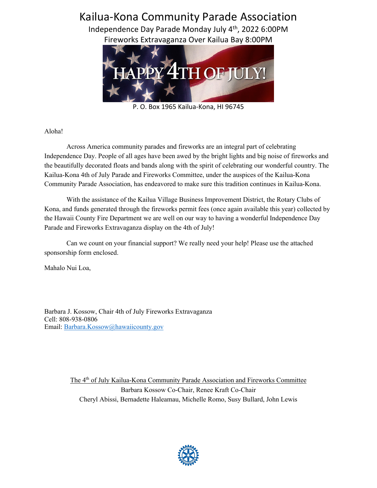# Kailua-Kona Community Parade Association

Independence Day Parade Monday July 4th, 2022 6:00PM Fireworks Extravaganza Over Kailua Bay 8:00PM



P. O. Box 1965 Kailua-Kona, HI 96745

Aloha!

Across America community parades and fireworks are an integral part of celebrating Independence Day. People of all ages have been awed by the bright lights and big noise of fireworks and the beautifully decorated floats and bands along with the spirit of celebrating our wonderful country. The Kailua-Kona 4th of July Parade and Fireworks Committee, under the auspices of the Kailua-Kona Community Parade Association, has endeavored to make sure this tradition continues in Kailua-Kona.

With the assistance of the Kailua Village Business Improvement District, the Rotary Clubs of Kona, and funds generated through the fireworks permit fees (once again available this year) collected by the Hawaii County Fire Department we are well on our way to having a wonderful Independence Day Parade and Fireworks Extravaganza display on the 4th of July!

Can we count on your financial support? We really need your help! Please use the attached sponsorship form enclosed.

Mahalo Nui Loa,

Barbara J. Kossow, Chair 4th of July Fireworks Extravaganza Cell: 808-938-0806 Email: Barbara.Kossow@hawaiicounty.gov

> The 4<sup>th</sup> of July Kailua-Kona Community Parade Association and Fireworks Committee Barbara Kossow Co-Chair, Renee Kraft Co-Chair Cheryl Abissi, Bernadette Haleamau, Michelle Romo, Susy Bullard, John Lewis